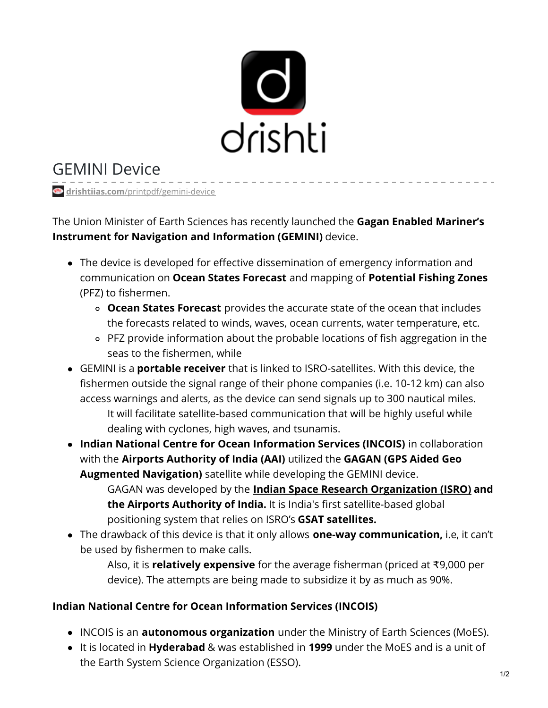

## GEMINI Device

**drishtiias.com**[/printpdf/gemini-device](https://www.drishtiias.com/printpdf/gemini-device)

The Union Minister of Earth Sciences has recently launched the **Gagan Enabled Mariner's Instrument for Navigation and Information (GEMINI)** device.

- The device is developed for effective dissemination of emergency information and communication on **Ocean States Forecast** and mapping of **Potential Fishing Zones** (PFZ) to fishermen.
	- **Ocean States Forecast** provides the accurate state of the ocean that includes the forecasts related to winds, waves, ocean currents, water temperature, etc.
	- PFZ provide information about the probable locations of fish aggregation in the seas to the fishermen, while
- GEMINI is a **portable receiver** that is linked to ISRO-satellites. With this device, the fishermen outside the signal range of their phone companies (i.e. 10-12 km) can also access warnings and alerts, as the device can send signals up to 300 nautical miles. It will facilitate satellite-based communication that will be highly useful while dealing with cyclones, high waves, and tsunamis.

**Indian National Centre for Ocean Information Services (INCOIS)** in collaboration with the **Airports Authority of India (AAI)** utilized the **GAGAN (GPS Aided Geo Augmented Navigation)** satellite while developing the GEMINI device.

GAGAN was developed by the **Indian Space Research [Organization](https://www.drishtiias.com/important-institutions/drishti-specials-important-institutions-national-institutions/indian-space-research-organisation-isro) (ISRO) and the Airports Authority of India.** It is India's first satellite-based global positioning system that relies on ISRO's **GSAT satellites.**

The drawback of this device is that it only allows **one-way communication,** i.e, it can't be used by fishermen to make calls.

Also, it is **relatively expensive** for the average fisherman (priced at ₹9,000 per device). The attempts are being made to subsidize it by as much as 90%.

## **Indian National Centre for Ocean Information Services (INCOIS)**

- INCOIS is an **autonomous organization** under the Ministry of Earth Sciences (MoES).
- It is located in **Hyderabad** & was established in **1999** under the MoES and is a unit of the Earth System Science Organization (ESSO).